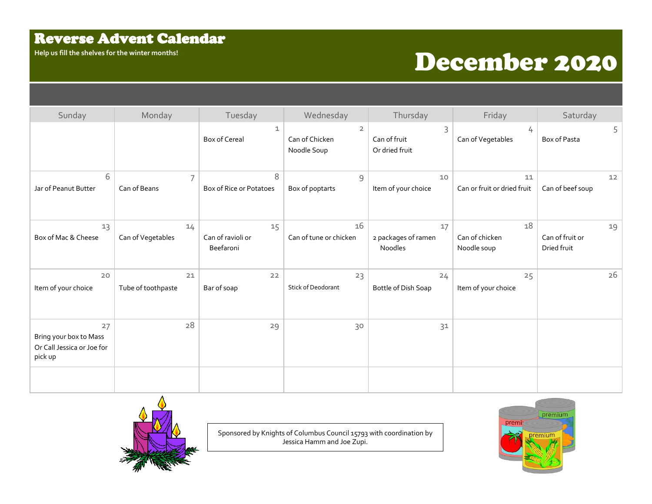## Reverse Advent Calendar

## Help us fill the shelves for the winter months!<br> **December 2020**

| Sunday                                                                | Monday                   | Tuesday                              | Wednesday                                       | Thursday                             | Friday                              | Saturday                             |
|-----------------------------------------------------------------------|--------------------------|--------------------------------------|-------------------------------------------------|--------------------------------------|-------------------------------------|--------------------------------------|
|                                                                       |                          | 1<br><b>Box of Cereal</b>            | $\overline{2}$<br>Can of Chicken<br>Noodle Soup | 3<br>Can of fruit<br>Or dried fruit  | 4<br>Can of Vegetables              | 5<br>Box of Pasta                    |
| 6<br>Jar of Peanut Butter                                             | 7<br>Can of Beans        | 8<br>Box of Rice or Potatoes         | 9<br>Box of poptarts                            | 10<br>Item of your choice            | 11<br>Can or fruit or dried fruit   | 12<br>Can of beef soup               |
| 13<br>Box of Mac & Cheese                                             | 14<br>Can of Vegetables  | 15<br>Can of ravioli or<br>Beefaroni | 16<br>Can of tune or chicken                    | 17<br>2 packages of ramen<br>Noodles | 18<br>Can of chicken<br>Noodle soup | 19<br>Can of fruit or<br>Dried fruit |
| 20<br>Item of your choice                                             | 21<br>Tube of toothpaste | 22<br>Bar of soap                    | 23<br><b>Stick of Deodorant</b>                 | 24<br>Bottle of Dish Soap            | 25<br>Item of your choice           | 26                                   |
| 27<br>Bring your box to Mass<br>Or Call Jessica or Joe for<br>pick up | 28                       | 29                                   | 30                                              | 31                                   |                                     |                                      |
|                                                                       |                          |                                      |                                                 |                                      |                                     |                                      |



Sponsored by Knights of Columbus Council 15793 with coordination by Jessica Hamm and Joe Zupi.